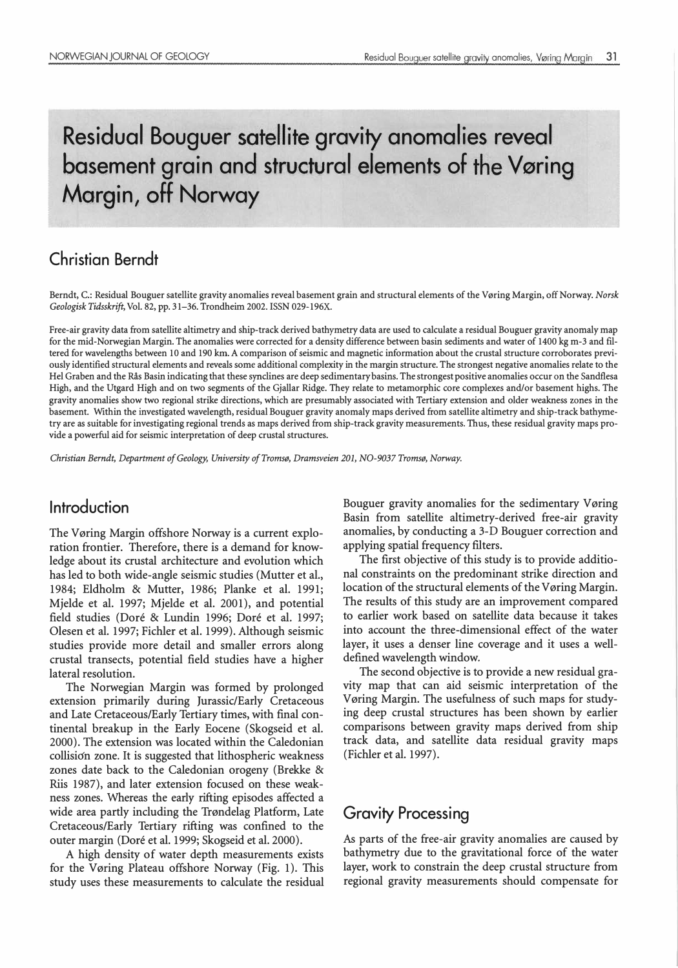# Residual Bouguer satellite gravity anomalies reveal basement grain and structural elements of the Vøring Margin, off Norway

## Christian Berndt

Berndt, C.: Residual Bouguer satellite gravity anomalies reveal basement grain and structural elements of the Vøring Margin, off Norway. Norsk Geologisk Tidsskrift, Vol. 82, pp. 31-36. Trondheim 2002. ISSN 029-196X.

Free-air gravity data from satellite altimetry and ship-track derived bathymetry data are used to calculate a residual Bouguer gravity anomaly map for the mid-Norwegian Margin. The anomalies were corrected for a density difference between basin sediments and water of 1400 kg m-3 and filtered for wavelengths between 10 and 190 km. A comparison of seismic and magnetic information about the crustal structure corroborates previously identified structural elements and reveals some additional complexity in the margin structure. The strongest negative anomalies relate to the Hel Graben and the Rås Basin indicating that these synclines are deep sedimentary basins. The strongest positive anomalies occur on the Sandflesa High, and the Utgard High and on two segments of the Gjallar Ridge. They relate to metamorphic core complexes and/or basement highs. The gravity anomalies show two regional strike directions, which are presumably associated with Tertiary extension and older weakness zones in the basement. Within the investigated wavelength, residual Bouguer gravity anomaly maps derived from satellite altimetry and ship-track bathymetry are as suitable for investigating regional trends as maps derived from ship-track gravity measurements. Thus, these residual gravity maps provide a powerful aid for seismic interpretation of deep crustal structures.

Christian Berndt, Department of Geology, University of Tromsø, Dramsveien 201, N0-9037 Tromsø, Norway.

### lntroduction

The Vøring Margin offshore Norway is a current exploration frontier. Therefore, there is a demand for knowledge about its crustal architecture and evolution which has led to both wide-angle seismic studies (Mutter et al., 1984; Eldholm & Mutter, 1986; Planke et al. 1991; Mjelde et al. 1997; Mjelde et al. 2001), and potential field studies (Doré & Lundin 1996; Doré et al. 1997; Olesen et al. 1997; Fichler et al. 1999). Although seismic studies provide more detail and smaller errors along crustal transects, potential field studies have a higher lateral resolution.

The Norwegian Margin was formed by prolonged extension primarily during Jurassic/Early Cretaceous and Late Cretaceous/Early Tertiary times, with final continental breakup in the Early Eocene (Skogseid et al. 2000). The extension was located within the Caledonian collisidn zone. It is suggested that lithospheric weakness zones date back to the Caledonian orogeny (Brekke & Riis 1987), and later extension focused on these weakness zones. Whereas the early rifting episodes affected a wide area partly including the Trøndelag Platform, Late Cretaceous/Early Tertiary rifting was confined to the outer margin (Dore et al. 1999; Skogseid et al. 2000).

A high density of water depth measurements exists for the Vøring Plateau offshore Norway (Fig. 1). This study uses these measurements to calculate the residual Bouguer gravity anomalies for the sedimentary V øring Basin from satellite altimetry-derived free-air gravity anomalies, by conducting a 3-D Bouguer correction and applying spatial frequency filters.

The first objective of this study is to provide additional constraints on the predominant strike direction and location of the structural elements of the Vøring Margin. The results of this study are an improvement compared to earlier work based on satellite data because it takes into account the three-dimensional effect of the water layer, it uses a denser line coverage and it uses a welldefined wavelength window.

The second objective is to provide a new residual gravity map that can aid seismic interpretation of the Vøring Margin. The usefulness of such maps for studying deep crustal structures has been shown by earlier comparisons between gravity maps derived from ship track data, and satellite data residual gravity maps (Fichler et al. 1997).

### Gravity Processing

As parts of the free-air gravity anomalies are caused by bathymetry due to the gravitational force of the water layer, work to constrain the deep crustal structure from regional gravity measurements should compensate for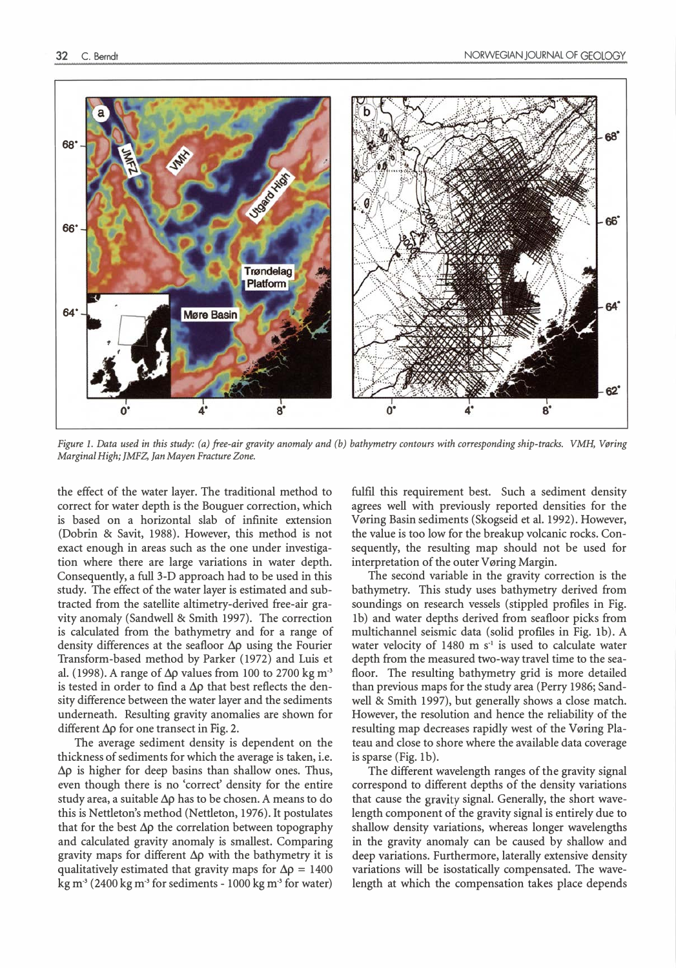

Figure l. Data used in this study: (a) free-air gravity anomaly and (b) bathymetry contours with corresponding ship-tracks. VMH, Vøring Marginal High; JMFZ, Jan Mayen Fracture Zone.

the effect of the water layer. The traditional method to correct for water depth is the Bouguer correction, which is based on a horizontal slab of infinite extension (Dobrin & Savit, 1988). However, this method is not exact enough in areas such as the one under investigation where there are large variations in water depth. Consequently, a full 3-D approach had to be used in this study. The effect of the water layer is estimated and subtracted from the satellite altimetry-derived free-air gravity anomaly (Sandwell & Smith 1997). The correction is calculated from the bathymetry and for a range of density differences at the seafloor  $\Delta p$  using the Fourier Transform-based method by Parker (1972) and Luis et al. (1998). A range of  $\Delta \rho$  values from 100 to 2700 kg m<sup>3</sup> is tested in order to find a  $\Delta p$  that best reflects the density difference between the water layer and the sediments underneath. Resulting gravity anomalies are shown for different  $\Delta \rho$  for one transect in Fig. 2.

The average sediment density is dependent on the thickness of sediments for which the average is taken, i.e.  $\Delta \rho$  is higher for deep basins than shallow ones. Thus, even though there is no 'correct' density for the entire study area, a suitable  $\Delta \rho$  has to be chosen. A means to do this is Nettleton's method (Nettleton, 1976). It postulates that for the best  $\Delta \rho$  the correlation between topography and calculated gravity anomaly is smallest. Comparing gravity maps for different  $\Delta \rho$  with the bathymetry it is qualitatively estimated that gravity maps for  $\Delta \rho = 1400$ kg m<sup>-3</sup> (2400 kg m<sup>-3</sup> for sediments - 1000 kg m<sup>-3</sup> for water) fulfll this requirement best. Such a sediment density agrees well with previously reported densities for the Vøring Basin sediments (Skogseid et al. 1992). However, the value is too low for the breakup volcanic rocks. Consequently, the resulting map should not be used for interpretation of the outer Vøring Margin.

The second variable in the gravity correction is the bathymetry. This study uses bathymetry derived from soundings on research vessels (stippled proflles in Fig. lb) and water depths derived from seafloor picks from multichannel seismic data (solid proflles in Fig. lb). A water velocity of  $1480 \text{ m s}^{-1}$  is used to calculate water depth from the measured two-way travel time to the seafloor. The resulting bathymetry grid is more detailed than previous maps for the study area (Perry 1986; Sandwell & Smith 1997), but generally shows a close match. However, the resolution and hence the reliability of the resulting map decreases rapidly west of the Vøring Plateau and dose to shore where the available data coverage is sparse (Fig. lb).

The different wavelength ranges of the gravity signal correspond to different depths of the density variations that cause the gravity signal. Generally, the short wavelength component of the gravity signal is entirely due to shallow density variations, whereas longer wavelengths in the gravity anomaly can be caused by shallow and deep variations. Furthermore, laterally extensive density variations will be isostatically compensated. The wavelength at which the compensation takes place depends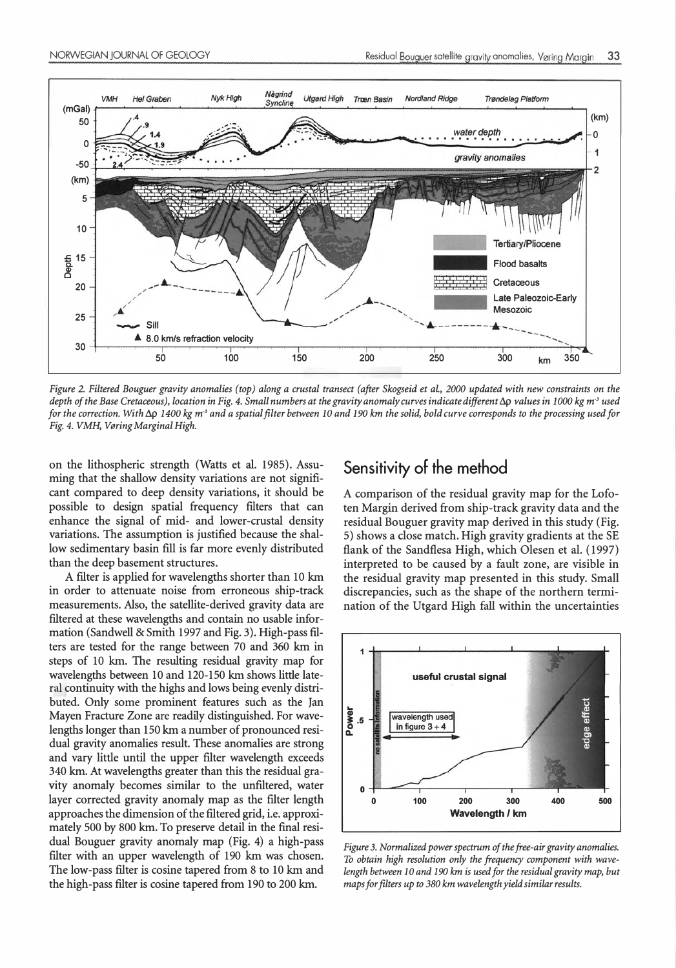

Figure 2. Filtered Bouguer gravity anomalies (top) along a crustal transect (after Skogseid et al. , 2000 updated with new constraints on the depth of the Base Cretaceous), location in Fig. 4. Small numbers at the gravity anomaly curves indicate different  $\Delta p$  values in 1000 kg m<sup>3</sup> used for the correction. With  $\Delta p$  1400 kg m<sup>3</sup> and a spatial filter between 10 and 190 km the solid, bold curve corresponds to the processing used for Fig. 4. VMH, Vøring Marginal High.

on the lithospheric strength (Watts et al. 1985). Assuming that the shallow density variations are not significant compared to deep density variations, it should be possible to design spatial frequency filters that can enhance the signal of mid- and lower-crustal density variations. The assumption is justified because the shallow sedimentary basin fill is far more evenly distributed than the deep basement structures.

A filter is applied for wavelengths shorter than 10 km in order to attenuate noise from erroneous ship-track measurements. Also, the satellite-derived gravity data are filtered at these wavelengths and contain no usable information (Sandwell & Smith 1997 and Fig. 3). High-pass filters are tested for the range between 70 and 360 km in steps of 10 km. The resulting residual gravity map for wavelengths between 10 and 120-150 km shows little lateral continuity with the highs and lows being evenly distributed. Only some prominent features such as the Jan Mayen Fracture Zone are readily distinguished. For wavelengths longer than 150 km a number of pronounced residual gravity anomalies result. These anomalies are strong and vary little until the upper filter wavelength exceeds 340 km. At wavelengths greater than this the residual gravity anomaly becomes similar to the unfiltered, water layer corrected gravity anomaly map as the filter length approaches the dimension of the filtered grid, i.e. approximately 500 by 800 km. To preserve detail in the final residual Bouguer gravity anomaly map (Fig. 4) a high-pass filter with an upper wavelength of 190 km was chosen. The low-pass filter is cosine tapered from 8 to 10 km and the high-pass filter is cosine tapered from 190 to 200 km.

#### Sensitivity of the method

A comparison of the residual gravity map for the Lofoten Margin derived from ship-track gravity data and the residual Bouguer gravity map derived in this study (Fig. 5) shows a dose match. High gravity gradients at the SE flank of the Sandflesa High, which Olesen et al. (1997) interpreted to be caused by a fault zone, are visible in the residual gravity map presented in this study. Small discrepancies, such as the shape of the northern termination of the Utgard High fall within the uncertainties



Figure 3. Normalized power spectrum of the free-air gravity anomalies. To obtain high resolution only the frequency component with wavelength between 10 and 190 km is used for the residual gravity map, but maps for filters up to 380 km wavelength yield similar results.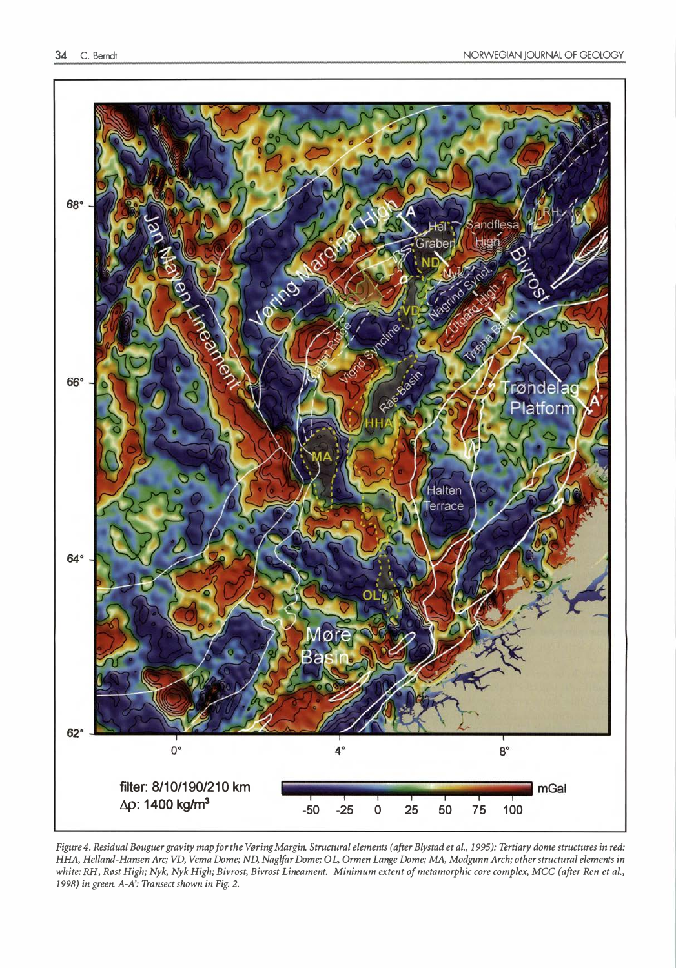

Figure 4. Residual Bouguer gravity map for the Vøring Margin. Structural elements (after Blystad et al., 1995): Tertiary dome structures in red: HHA, Helland-Hansen Are; VD, Verna Dome; ND, Naglfar Dome; OL, Ormen Lange Dome; MA, Modgunn Arch; other structural elements in white: RH, Røst High; Nyk, Nyk High; Bivrost, Bivrost Lineament. Minimum extent of metamorphic core complex, MCC (after Ren et al., 1998) in green. A-A': Transect shown in Fig. 2.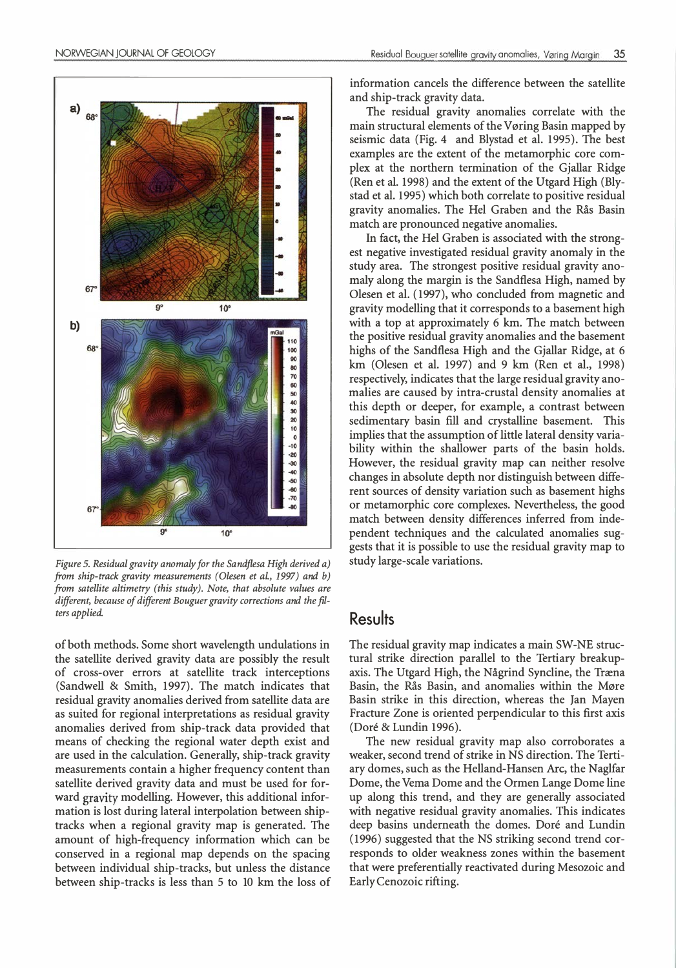



Figure 5. Residual gravity anomaly for the Sandflesa High derived a) from ship-track gravity measurements (Olesen et al., 1997) and b) from satellite altimetry (this study). Note, that absolute values are different, because of different Bouguer gravity corrections and the filters applied.

of both methods. Some short wavelength undulations in the satellite derived gravity data are possibly the result of cross-over errors at satellite track interceptions (Sandwell & Smith, 1997). The match indicates that residual gravity anomalies derived from satellite data are as suited for regional interpretations as residual gravity anomalies derived from ship-track data provided that means of checking the regional water depth exist and are used in the calculation. Generally, ship-track gravity measurements contain a higher frequency content than satellite derived gravity data and must be used for forward gravity modelling. However, this additional information is lost during lateral interpolation between shiptracks when a regional gravity map is generated. The amount of high-frequency information which can be conserved in a regional map depends on the spacing between individual ship-tracks, but unless the distance between ship-tracks is less than 5 to 10 km the loss of information cancels the difference between the satellite and ship-track gravity data.

The residual gravity anomalies correlate with the main structural elements of the Vøring Basin mapped by seismic data (Fig. 4 and Blystad et al. 1995). The best examples are the extent of the metamorphic core complex at the northern termination of the Gjallar Ridge (Ren et al. 1998) and the extent of the Utgard High (Blystad et al. 1995) which both correlate to positive residual gravity anomalies. The Hel Graben and the Rås Basin match are pronounced negative anomalies.

In fact, the Hel Graben is associated with the strongest negative investigated residual gravity anomaly in the study area. The strongest positive residual gravity anomaly along the margin is the Sandflesa High, named by Olesen et al. (1997), who concluded from magnetic and gravity modelling that it corresponds to a basement high with a top at approximately 6 km. The match between the positive residual gravity anomalies and the basement highs of the Sandflesa High and the Gjallar Ridge, at 6 km (Olesen et al. 1997) and 9 km (Ren et al., 1998) respectively, indicates that the large residual gravity anomalies are caused by intra-crustal density anomalies at this depth or deeper, for example, a contrast between sedimentary basin fill and crystalline basement. This implies that the assumption of little lateral density variability within the shallower parts of the basin holds. However, the residual gravity map can neither resolve changes in absolute depth nor distinguish between different sources of density variation such as basement highs or metamorphic core complexes. Nevertheless, the good match between density differences inferred from independent techniques and the calculated anomalies suggests that it is possible to use the residual gravity map to study large-scale variations.

#### **Results**

The residual gravity map indicates a main SW-NE structural strike direction parallel to the Tertiary breakupaxis. The Utgard High, the Någrind Syncline, the Træna Basin, the Rås Basin, and anomalies within the Møre Basin strike in this direction, whereas the Jan Mayen Fracture Zone is oriented perpendicular to this first axis (Dore & Lundin 1996).

The new residual gravity map also corroborates a weaker, second trend of strike in NS direction. The Tertiary domes, such as the Helland-Hansen Are, the Naglfar Dome, the Verna Dome and the Ormen Lange Dome line up along this trend, and they are generally associated with negative residual gravity anomalies. This indicates deep basins underneath the domes. Doré and Lundin ( 1996) suggested that the NS striking second trend corresponds to older weakness zones within the basement that were preferentially reactivated during Mesozoic and Early Cenozoic rifting.